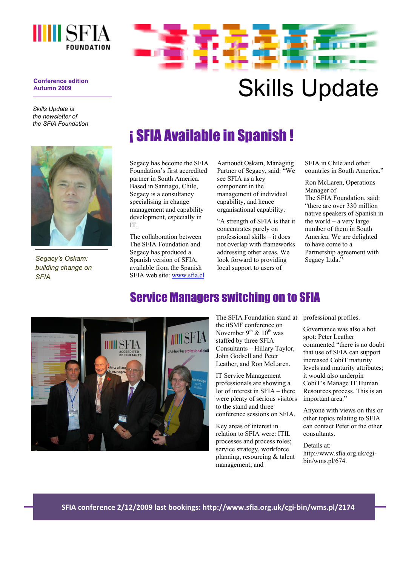



**Conference edition Autumn 2009** 

*Skills Update is the newsletter of the SFIA Foundation* 

*Segacy's Oskam: building change on SFIA.* 

# ¡ SFIA Available in Spanish !

Segacy has become the SFIA Foundation's first accredited partner in South America. Based in Santiago, Chile, Segacy is a consultancy specialising in change management and capability development, especially in IT.

The collaboration between The SFIA Foundation and Segacy has produced a Spanish version of SFIA, available from the Spanish SFIA web site: www.sfia.cl Aarnoudt Oskam, Managing Partner of Segacy, said: "We see SFIA as a key component in the management of individual capability, and hence organisational capability.

"A strength of SFIA is that it concentrates purely on professional skills – it does not overlap with frameworks addressing other areas. We look forward to providing local support to users of

SFIA in Chile and other countries in South America<sup>"</sup>

Ron McLaren, Operations Manager of The SFIA Foundation, said: "there are over 330 million native speakers of Spanish in the world – a very large number of them in South America. We are delighted to have come to a Partnership agreement with Segacy Ltda."

#### Service Managers switching on to SFIA



The SFIA Foundation stand at the itSMF conference on November 9<sup>th</sup> & 10<sup>th</sup> was staffed by three SFIA Consultants – Hillary Taylor, John Godsell and Peter Leather, and Ron McLaren.

IT Service Management professionals are showing a lot of interest in SFIA – there were plenty of serious visitors to the stand and three conference sessions on SFIA.

Key areas of interest in relation to SFIA were: ITIL processes and process roles; service strategy, workforce planning, resourcing & talent management; and

professional profiles.

Governance was also a hot spot: Peter Leather commented "there is no doubt that use of SFIA can support increased CobiT maturity levels and maturity attributes; it would also underpin CobiT's Manage IT Human Resources process. This is an important area."

Anyone with views on this or other topics relating to SFIA can contact Peter or the other consultants.

Details at: http://www.sfia.org.uk/cgibin/wms.pl/674.

**SFIA conference 2/12/2009 last bookings: http://www.sfia.org.uk/cgi‐bin/wms.pl/2174**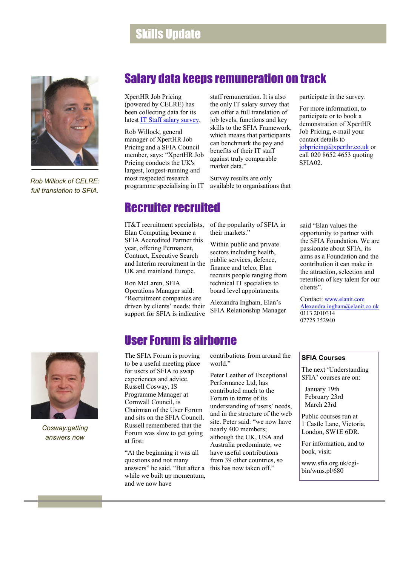#### Skills Update



*Rob Willock of CELRE: full translation to SFIA.* 

#### Salary data keeps remuneration on track

XpertHR Job Pricing (powered by CELRE) has been collecting data for its latest **IT Staff salary survey**.

Rob Willock, general manager of XpertHR Job Pricing and a SFIA Council member, says: "XpertHR Job Pricing conducts the UK's largest, longest-running and most respected research programme specialising in IT

staff remuneration. It is also the only IT salary survey that can offer a full translation of job levels, functions and key skills to the SFIA Framework, which means that participants can benchmark the pay and benefits of their IT staff against truly comparable market data."

Survey results are only available to organisations that participate in the survey.

For more information, to participate or to book a demonstration of XpertHR Job Pricing, e-mail your contact details to jobpricing@xperthr.co.uk or call 020 8652 4653 quoting SFIA02.

#### Recruiter recruited

Elan Computing became a SFIA Accredited Partner this year, offering Permanent, Contract, Executive Search and Interim recruitment in the UK and mainland Europe.

Ron McLaren, SFIA Operations Manager said: "Recruitment companies are driven by clients' needs: their support for SFIA is indicative

IT&T recruitment specialists, of the popularity of SFIA in their markets."

> Within public and private sectors including health, public services, defence, finance and telco, Elan recruits people ranging from technical IT specialists to board level appointments.

Alexandra Ingham, Elan's SFIA Relationship Manager

#### User Forum is airborne

The SFIA Forum is proving to be a useful meeting place for users of SFIA to swap experiences and advice. Russell Cosway, IS Programme Manager at Cornwall Council, is Chairman of the User Forum and sits on the SFIA Council. Russell remembered that the Forum was slow to get going at first:

"At the beginning it was all questions and not many answers" he said. "But after a while we built up momentum and we now have

contributions from around the world."

Peter Leather of Exceptional Performance Ltd, has contributed much to the Forum in terms of its understanding of users' needs, and in the structure of the web site. Peter said: "we now have nearly 400 members; although the UK, USA and Australia predominate, we have useful contributions from 39 other countries, so this has now taken off."

said "Elan values the opportunity to partner with the SFIA Foundation. We are passionate about SFIA, its aims as a Foundation and the contribution it can make in the attraction, selection and retention of key talent for our clients".

Contact: www.elanit.com Alexandra.ingham@elanit.co.uk 0113 2010314 07725 352940



The next 'Understanding SFIA' courses are on:

 January 19th February 23rd March 23rd

Public courses run at 1 Castle Lane, Victoria, London, SW1E 6DR.

For information, and to book, visit:

www.sfia.org.uk/cgibin/wms.pl/680



*Cosway:getting answers now*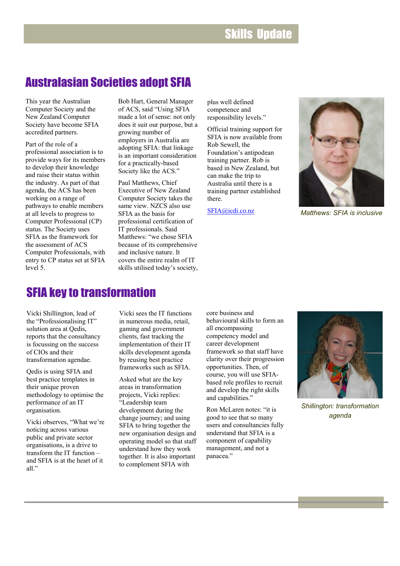### Skills Update

#### Australasian Societies adopt SFIA

This year the Australian Computer Society and the New Zealand Computer Society have become SFIA accredited partners.

Part of the role of a professional association is to provide ways for its members to develop their knowledge and raise their status within the industry. As part of that agenda, the ACS has been working on a range of pathways to enable members at all levels to progress to Computer Professional (CP) status. The Society uses SFIA as the framework for the assessment of ACS Computer Professionals, with entry to CP status set at SFIA level 5.

Bob Hart, General Manager of ACS, said "Using SFIA made a lot of sense: not only does it suit our purpose, but a growing number of employers in Australia are adopting SFIA: that linkage is an important consideration for a practically-based Society like the ACS."

Paul Matthews, Chief Executive of New Zealand Computer Society takes the same view. NZCS also use SFIA as the basis for professional certification of IT professionals. Said Matthews: "we chose SFIA because of its comprehensive and inclusive nature. It covers the entire realm of IT skills utilised today's society,

plus well defined competence and responsibility levels."

Official training support for SFIA is now available from Rob Sewell, the Foundation's antipodean training partner. Rob is based in New Zealand, but can make the trip to Australia until there is a training partner established there.

SFIA@icdi.co.nz



*Matthews: SFIA is inclusive*

### SFIA key to transformation

Vicki Shillington, lead of the "Professionalising IT" solution area at Qedis, reports that the consultancy is focussing on the success of CIOs and their transformation agendae.

Qedis is using SFIA and best practice templates in their unique proven methodology to optimise the performance of an IT organisation.

Vicki observes, "What we're noticing across various public and private sector organisations, is a drive to transform the IT function – and SFIA is at the heart of it all"

Vicki sees the IT functions in numerous media, retail gaming and government clients, fast tracking the implementation of their IT skills development agenda by reusing best practice frameworks such as SFIA.

Asked what are the key areas in transformation projects, Vicki replies: "Leadership team development during the change journey; and using SFIA to bring together the new organisation design and operating model so that staff understand how they work together. It is also important to complement SFIA with

core business and behavioural skills to form an all encompassing competency model and career development framework so that staff have clarity over their progression opportunities. Then, of course, you will use SFIAbased role profiles to recruit and develop the right skills and capabilities."

Ron McLaren notes: "it is good to see that so many users and consultancies fully understand that SFIA is a component of capability management, and not a panacea."



*Shillington: transformation agenda*